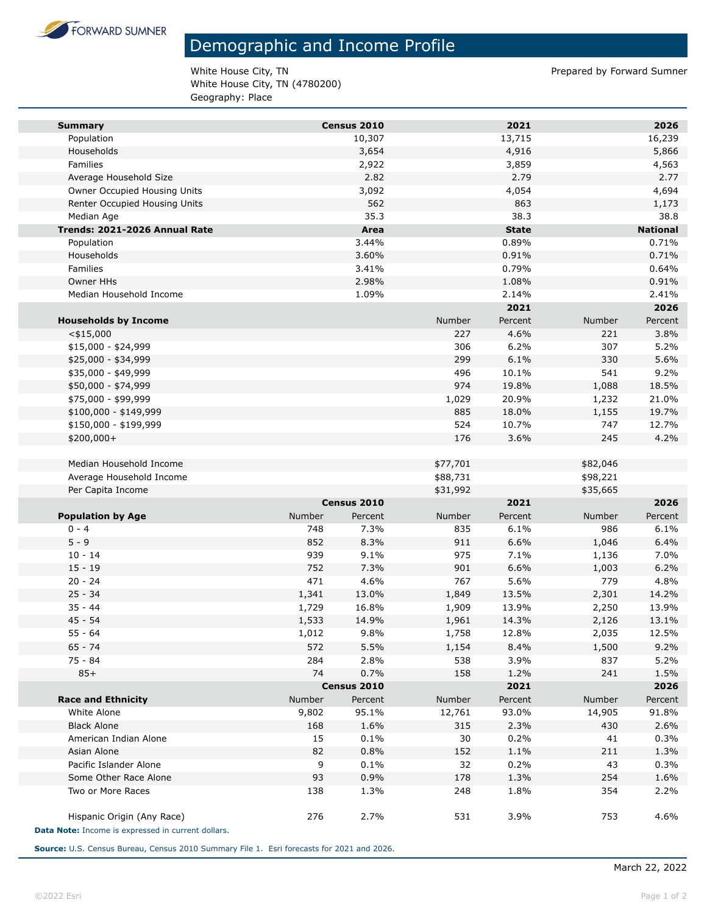

## Demographic and Income Profile

White House City, TN **Prepared by Forward Sumner** White House City, TN (4780200) Geography: Place

| <b>Summary</b>                                     |        | Census 2010 |               | 2021         |          | 2026            |
|----------------------------------------------------|--------|-------------|---------------|--------------|----------|-----------------|
| Population                                         |        | 10,307      |               | 13,715       |          | 16,239          |
| Households                                         |        | 3,654       |               | 4,916        |          | 5,866           |
| Families                                           |        | 2,922       |               | 3,859        |          | 4,563           |
| Average Household Size                             |        | 2.82        |               | 2.79         |          | 2.77            |
| Owner Occupied Housing Units                       |        | 3,092       |               | 4,054        |          | 4,694           |
| Renter Occupied Housing Units                      |        | 562         |               | 863          |          | 1,173           |
| Median Age                                         |        | 35.3        |               | 38.3         |          | 38.8            |
| Trends: 2021-2026 Annual Rate                      |        | Area        |               | <b>State</b> |          | <b>National</b> |
| Population                                         |        | 3.44%       |               | 0.89%        |          | 0.71%           |
| Households                                         |        | 3.60%       |               | 0.91%        |          | 0.71%           |
| Families                                           |        | 3.41%       |               | 0.79%        |          | 0.64%           |
| Owner HHs                                          |        | 2.98%       |               | 1.08%        |          | 0.91%           |
| Median Household Income                            |        | 1.09%       |               | 2.14%        |          | 2.41%           |
|                                                    |        |             |               | 2021         |          | 2026            |
| <b>Households by Income</b>                        |        |             | <b>Number</b> | Percent      | Number   | Percent         |
| $<$ \$15,000                                       |        |             | 227           | 4.6%         | 221      | 3.8%            |
| $$15,000 - $24,999$                                |        |             | 306           | 6.2%         | 307      | 5.2%            |
| \$25,000 - \$34,999                                |        |             | 299           | 6.1%         | 330      | 5.6%            |
| \$35,000 - \$49,999                                |        |             | 496           | 10.1%        | 541      | 9.2%            |
| \$50,000 - \$74,999                                |        |             | 974           | 19.8%        | 1,088    | 18.5%           |
| \$75,000 - \$99,999                                |        |             | 1,029         | 20.9%        | 1,232    | 21.0%           |
| \$100,000 - \$149,999                              |        |             | 885           | 18.0%        | 1,155    | 19.7%           |
| \$150,000 - \$199,999                              |        |             | 524           | 10.7%        | 747      | 12.7%           |
| \$200,000+                                         |        |             | 176           | 3.6%         | 245      | 4.2%            |
|                                                    |        |             |               |              |          |                 |
| Median Household Income                            |        |             | \$77,701      |              | \$82,046 |                 |
| Average Household Income                           |        |             | \$88,731      |              | \$98,221 |                 |
| Per Capita Income                                  |        |             | \$31,992      |              | \$35,665 |                 |
|                                                    |        | Census 2010 |               | 2021         |          | 2026            |
| <b>Population by Age</b>                           | Number | Percent     | Number        | Percent      | Number   | Percent         |
| $0 - 4$                                            | 748    | 7.3%        | 835           | 6.1%         | 986      | 6.1%            |
| $5 - 9$                                            | 852    | 8.3%        | 911           | 6.6%         | 1,046    | 6.4%            |
| $10 - 14$                                          | 939    | 9.1%        | 975           | 7.1%         | 1,136    | 7.0%            |
| $15 - 19$                                          | 752    | 7.3%        | 901           | 6.6%         | 1,003    | 6.2%            |
| $20 - 24$                                          | 471    | 4.6%        | 767           | 5.6%         | 779      | 4.8%            |
| $25 - 34$                                          | 1,341  | 13.0%       | 1,849         | 13.5%        | 2,301    | 14.2%           |
| $35 - 44$                                          | 1,729  | 16.8%       | 1,909         | 13.9%        | 2,250    | 13.9%           |
| $45 - 54$                                          | 1,533  | 14.9%       | 1,961         | 14.3%        | 2,126    | 13.1%           |
| $55 - 64$                                          | 1,012  | 9.8%        | 1,758         | 12.8%        | 2,035    | 12.5%           |
| $65 - 74$                                          | 572    | 5.5%        | 1,154         | 8.4%         | 1,500    | 9.2%            |
| 75 - 84                                            | 284    | 2.8%        | 538           | 3.9%         | 837      | 5.2%            |
| $85+$                                              | 74     | 0.7%        | 158           | 1.2%         | 241      | 1.5%            |
|                                                    |        | Census 2010 |               | 2021         |          | 2026            |
| <b>Race and Ethnicity</b>                          | Number | Percent     | Number        | Percent      | Number   | Percent         |
| White Alone                                        | 9,802  | 95.1%       | 12,761        | 93.0%        | 14,905   | 91.8%           |
| <b>Black Alone</b>                                 | 168    | 1.6%        | 315           | 2.3%         | 430      | 2.6%            |
| American Indian Alone                              | 15     | 0.1%        | 30            | 0.2%         | 41       | 0.3%            |
| Asian Alone                                        | 82     | 0.8%        | 152           | 1.1%         | 211      | 1.3%            |
| Pacific Islander Alone                             | 9      | 0.1%        | 32            | 0.2%         | 43       | 0.3%            |
| Some Other Race Alone                              | 93     | 0.9%        | 178           | 1.3%         | 254      | 1.6%            |
| Two or More Races                                  | 138    | 1.3%        | 248           | 1.8%         | 354      | 2.2%            |
|                                                    |        |             |               |              |          |                 |
| Hispanic Origin (Any Race)                         | 276    | 2.7%        | 531           | 3.9%         | 753      | 4.6%            |
| Data Note: Income is expressed in current dollars. |        |             |               |              |          |                 |

**Source:** U.S. Census Bureau, Census 2010 Summary File 1. Esri forecasts for 2021 and 2026.